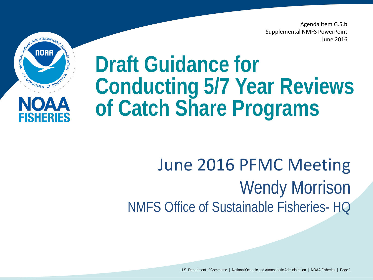Agenda Item G.5.b Supplemental NMFS PowerPoint June 2016





# **Draft Guidance for Conducting 5/7 Year Reviews of Catch Share Programs**

### June 2016 PFMC Meeting Wendy Morrison NMFS Office of Sustainable Fisheries- HQ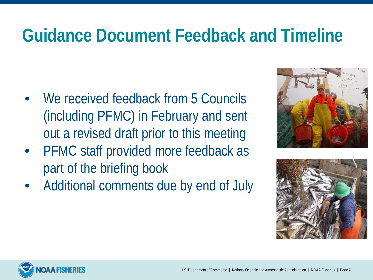### **Guidance Document Feedback and Timeline**

- We received feedback from 5 Councils (including PFMC) in February and sent out a revised draft prior to this meeting
- PFMC staff provided more feedback as part of the briefing book
- Additional comments due by end of July





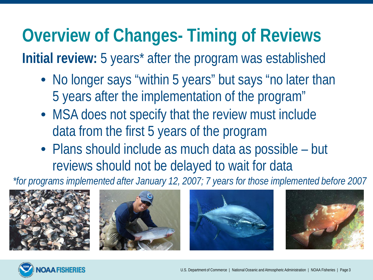# **Overview of Changes- Timing of Reviews**

**Initial review:** 5 years\* after the program was established

- No longer says "within 5 years" but says "no later than 5 years after the implementation of the program"
- MSA does not specify that the review must include data from the first 5 years of the program
- Plans should include as much data as possible but reviews should not be delayed to wait for data

*\*for programs implemented after January 12, 2007; 7 years for those implemented before 2007* 









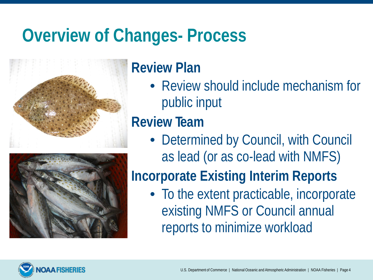### **Overview of Changes- Process**



#### **Review Plan**

• Review should include mechanism for public input

#### **Review Team**

• Determined by Council, with Council as lead (or as co-lead with NMFS)

#### **Incorporate Existing Interim Reports**

• To the extent practicable, incorporate existing NMFS or Council annual reports to minimize workload

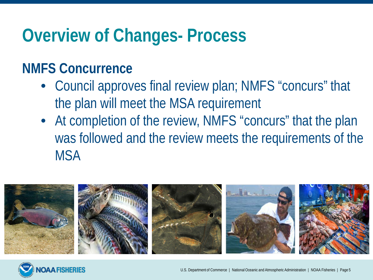### **Overview of Changes- Process**

#### **NMFS Concurrence**

- Council approves final review plan; NMFS "concurs" that the plan will meet the MSA requirement
- At completion of the review, NMFS "concurs" that the plan was followed and the review meets the requirements of the **MSA**



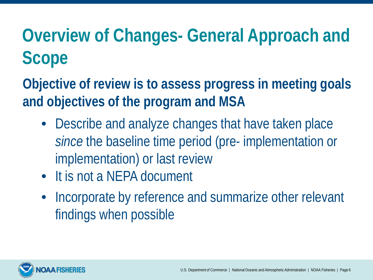# **Overview of Changes- General Approach and Scope**

**Objective of review is to assess progress in meeting goals and objectives of the program and MSA**

- Describe and analyze changes that have taken place *since* the baseline time period (pre- implementation or implementation) or last review
- It is not a NFPA document
- Incorporate by reference and summarize other relevant findings when possible

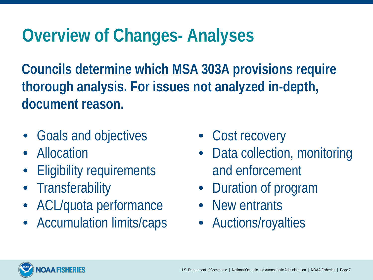## **Overview of Changes- Analyses**

**Councils determine which MSA 303A provisions require thorough analysis. For issues not analyzed in-depth, document reason.** 

- Goals and objectives
- Allocation
- **Eligibility requirements**
- Transferability
- ACL/quota performance
- Accumulation limits/caps
- Cost recovery
- Data collection, monitoring and enforcement
- Duration of program
- New entrants
- Auctions/royalties

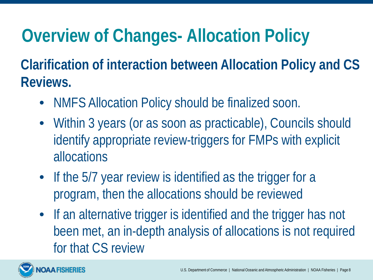# **Overview of Changes- Allocation Policy**

**Clarification of interaction between Allocation Policy and CS Reviews.**

- NMFS Allocation Policy should be finalized soon.
- Within 3 years (or as soon as practicable), Councils should identify appropriate review-triggers for FMPs with explicit allocations
- If the 5/7 year review is identified as the trigger for a program, then the allocations should be reviewed
- If an alternative trigger is identified and the trigger has not been met, an in-depth analysis of allocations is not required for that CS review